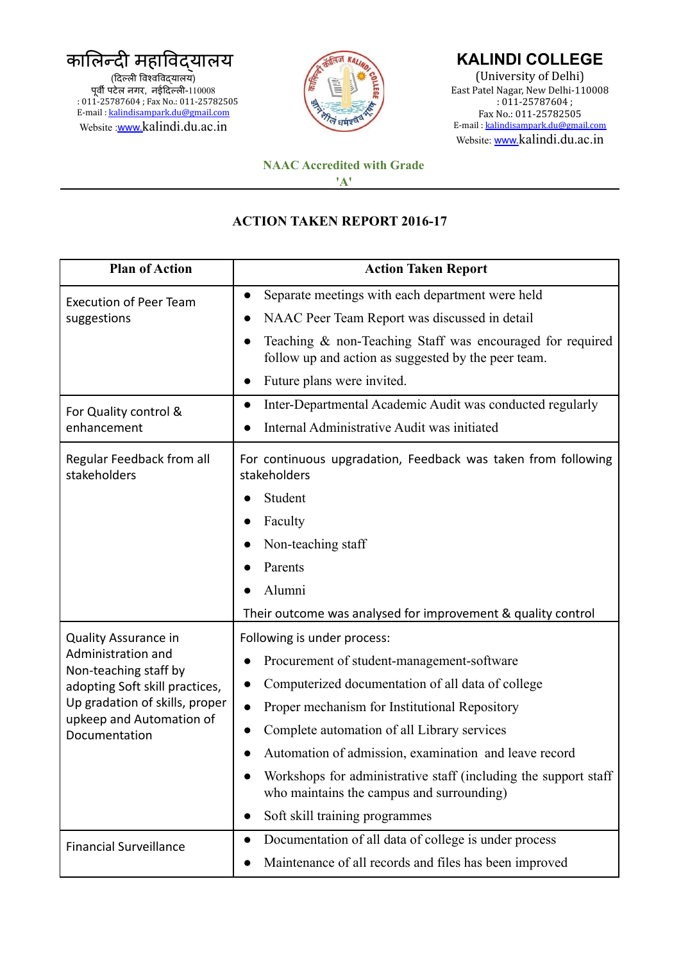कालिन्दी महाविदयालय (दिल्ली विश्वविदयालय) पूर्वी पटेल नगर, नईदिल्ली-110008 : 011-25787604 ; Fax No.: 011-25782505 E-mail : [kalindisampark.du@gmail.com](mailto:kalindisampark.du@gmail.com) Website :[www.](http://www.)kalindi.du.ac.in



## **KALINDI COLLEGE**

(University of Delhi) East Patel Nagar, New Delhi-110008 : 011-25787604 ; Fax No.: 011-25782505 E-mail : [kalindisampark.du@gmail.com](mailto:kalindisampark.du@gmail.com) Website: [www.](http://www.)kalindi.du.ac.in

## **NAAC Accredited with Grade 'A'**

## **ACTION TAKEN REPORT 2016-17**

| <b>Plan of Action</b>                                                                                                                                        | <b>Action Taken Report</b>                                                                                       |
|--------------------------------------------------------------------------------------------------------------------------------------------------------------|------------------------------------------------------------------------------------------------------------------|
| <b>Execution of Peer Team</b><br>suggestions                                                                                                                 | Separate meetings with each department were held<br>$\bullet$                                                    |
|                                                                                                                                                              | NAAC Peer Team Report was discussed in detail                                                                    |
|                                                                                                                                                              | Teaching & non-Teaching Staff was encouraged for required<br>follow up and action as suggested by the peer team. |
|                                                                                                                                                              | Future plans were invited.                                                                                       |
| For Quality control &<br>enhancement                                                                                                                         | Inter-Departmental Academic Audit was conducted regularly<br>$\bullet$                                           |
|                                                                                                                                                              | Internal Administrative Audit was initiated                                                                      |
| Regular Feedback from all<br>stakeholders                                                                                                                    | For continuous upgradation, Feedback was taken from following<br>stakeholders                                    |
|                                                                                                                                                              | Student                                                                                                          |
|                                                                                                                                                              | Faculty<br>$\bullet$                                                                                             |
|                                                                                                                                                              | Non-teaching staff                                                                                               |
|                                                                                                                                                              | Parents                                                                                                          |
|                                                                                                                                                              | Alumni                                                                                                           |
|                                                                                                                                                              | Their outcome was analysed for improvement & quality control                                                     |
| <b>Quality Assurance in</b>                                                                                                                                  | Following is under process:                                                                                      |
| Administration and<br>Non-teaching staff by<br>adopting Soft skill practices,<br>Up gradation of skills, proper<br>upkeep and Automation of<br>Documentation | Procurement of student-management-software                                                                       |
|                                                                                                                                                              | Computerized documentation of all data of college                                                                |
|                                                                                                                                                              | Proper mechanism for Institutional Repository                                                                    |
|                                                                                                                                                              | Complete automation of all Library services                                                                      |
|                                                                                                                                                              | Automation of admission, examination and leave record                                                            |
|                                                                                                                                                              | Workshops for administrative staff (including the support staff)<br>who maintains the campus and surrounding)    |
|                                                                                                                                                              | Soft skill training programmes<br>$\bullet$                                                                      |
| <b>Financial Surveillance</b>                                                                                                                                | Documentation of all data of college is under process<br>$\bullet$                                               |
|                                                                                                                                                              | Maintenance of all records and files has been improved                                                           |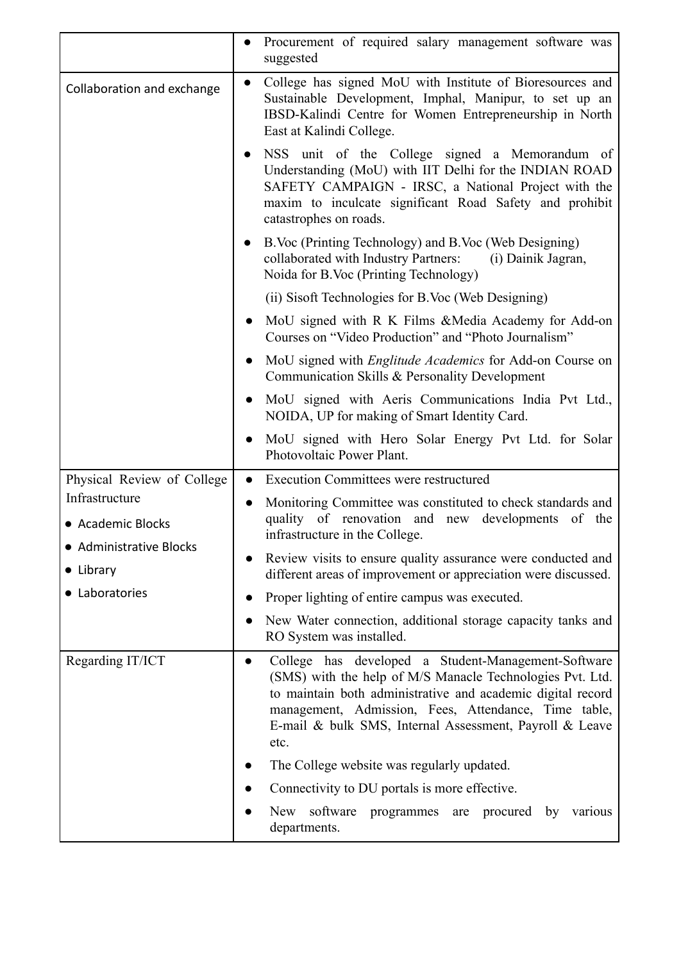|                                                                                               | Procurement of required salary management software was<br>$\bullet$<br>suggested                                                                                                                                                                                                                           |
|-----------------------------------------------------------------------------------------------|------------------------------------------------------------------------------------------------------------------------------------------------------------------------------------------------------------------------------------------------------------------------------------------------------------|
| Collaboration and exchange                                                                    | College has signed MoU with Institute of Bioresources and<br>$\bullet$<br>Sustainable Development, Imphal, Manipur, to set up an<br>IBSD-Kalindi Centre for Women Entrepreneurship in North<br>East at Kalindi College.                                                                                    |
|                                                                                               | NSS unit of the College signed a Memorandum of<br>Understanding (MoU) with IIT Delhi for the INDIAN ROAD<br>SAFETY CAMPAIGN - IRSC, a National Project with the<br>maxim to inculcate significant Road Safety and prohibit<br>catastrophes on roads.                                                       |
|                                                                                               | B. Voc (Printing Technology) and B. Voc (Web Designing)<br>$\bullet$<br>collaborated with Industry Partners:<br>(i) Dainik Jagran,<br>Noida for B.Voc (Printing Technology)                                                                                                                                |
|                                                                                               | (ii) Sisoft Technologies for B.Voc (Web Designing)                                                                                                                                                                                                                                                         |
|                                                                                               | MoU signed with R K Films & Media Academy for Add-on<br>$\bullet$<br>Courses on "Video Production" and "Photo Journalism"                                                                                                                                                                                  |
|                                                                                               | MoU signed with <i>Englitude Academics</i> for Add-on Course on<br>Communication Skills & Personality Development                                                                                                                                                                                          |
|                                                                                               | MoU signed with Aeris Communications India Pvt Ltd.,<br>$\bullet$<br>NOIDA, UP for making of Smart Identity Card.                                                                                                                                                                                          |
|                                                                                               | MoU signed with Hero Solar Energy Pvt Ltd. for Solar<br>Photovoltaic Power Plant.                                                                                                                                                                                                                          |
| Physical Review of College                                                                    | <b>Execution Committees were restructured</b><br>$\bullet$                                                                                                                                                                                                                                                 |
| Infrastructure<br>• Academic Blocks<br>• Administrative Blocks<br>• Library<br>• Laboratories | Monitoring Committee was constituted to check standards and<br>$\bullet$<br>quality of renovation and new developments of the<br>infrastructure in the College.                                                                                                                                            |
|                                                                                               | Review visits to ensure quality assurance were conducted and<br>different areas of improvement or appreciation were discussed.                                                                                                                                                                             |
|                                                                                               | Proper lighting of entire campus was executed.<br>$\bullet$                                                                                                                                                                                                                                                |
|                                                                                               | New Water connection, additional storage capacity tanks and<br>RO System was installed.                                                                                                                                                                                                                    |
| Regarding IT/ICT                                                                              | College has developed a Student-Management-Software<br>(SMS) with the help of M/S Manacle Technologies Pvt. Ltd.<br>to maintain both administrative and academic digital record<br>management, Admission, Fees, Attendance, Time table,<br>E-mail & bulk SMS, Internal Assessment, Payroll & Leave<br>etc. |
|                                                                                               | The College website was regularly updated.                                                                                                                                                                                                                                                                 |
|                                                                                               | Connectivity to DU portals is more effective.                                                                                                                                                                                                                                                              |
|                                                                                               |                                                                                                                                                                                                                                                                                                            |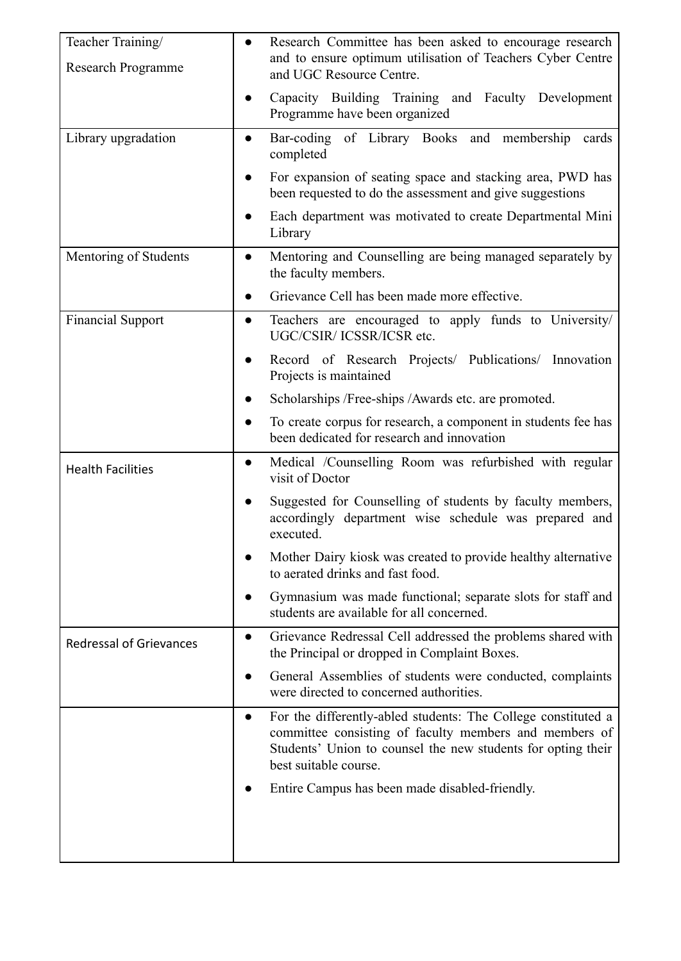| Teacher Training/<br>Research Programme | Research Committee has been asked to encourage research<br>and to ensure optimum utilisation of Teachers Cyber Centre<br>and UGC Resource Centre.                                                                             |
|-----------------------------------------|-------------------------------------------------------------------------------------------------------------------------------------------------------------------------------------------------------------------------------|
|                                         | Capacity Building Training and Faculty Development<br>Programme have been organized                                                                                                                                           |
| Library upgradation                     | Bar-coding of Library Books and membership<br>cards<br>$\bullet$<br>completed                                                                                                                                                 |
|                                         | For expansion of seating space and stacking area, PWD has<br>been requested to do the assessment and give suggestions                                                                                                         |
|                                         | Each department was motivated to create Departmental Mini<br>Library                                                                                                                                                          |
| Mentoring of Students                   | Mentoring and Counselling are being managed separately by<br>$\bullet$<br>the faculty members.                                                                                                                                |
|                                         | Grievance Cell has been made more effective.                                                                                                                                                                                  |
| <b>Financial Support</b>                | Teachers are encouraged to apply funds to University/<br>$\bullet$<br>UGC/CSIR/ ICSSR/ICSR etc.                                                                                                                               |
|                                         | Record of Research Projects/ Publications/ Innovation<br>Projects is maintained                                                                                                                                               |
|                                         | Scholarships / Free-ships / Awards etc. are promoted.                                                                                                                                                                         |
|                                         | To create corpus for research, a component in students fee has<br>been dedicated for research and innovation                                                                                                                  |
| <b>Health Facilities</b>                | Medical /Counselling Room was refurbished with regular<br>$\bullet$<br>visit of Doctor                                                                                                                                        |
|                                         | Suggested for Counselling of students by faculty members,<br>accordingly department wise schedule was prepared and<br>executed.                                                                                               |
|                                         | Mother Dairy kiosk was created to provide healthy alternative<br>to aerated drinks and fast food.                                                                                                                             |
|                                         | Gymnasium was made functional; separate slots for staff and<br>students are available for all concerned.                                                                                                                      |
| <b>Redressal of Grievances</b>          | Grievance Redressal Cell addressed the problems shared with<br>$\bullet$<br>the Principal or dropped in Complaint Boxes.                                                                                                      |
|                                         | General Assemblies of students were conducted, complaints<br>were directed to concerned authorities.                                                                                                                          |
|                                         | For the differently-abled students: The College constituted a<br>$\bullet$<br>committee consisting of faculty members and members of<br>Students' Union to counsel the new students for opting their<br>best suitable course. |
|                                         | Entire Campus has been made disabled-friendly.                                                                                                                                                                                |
|                                         |                                                                                                                                                                                                                               |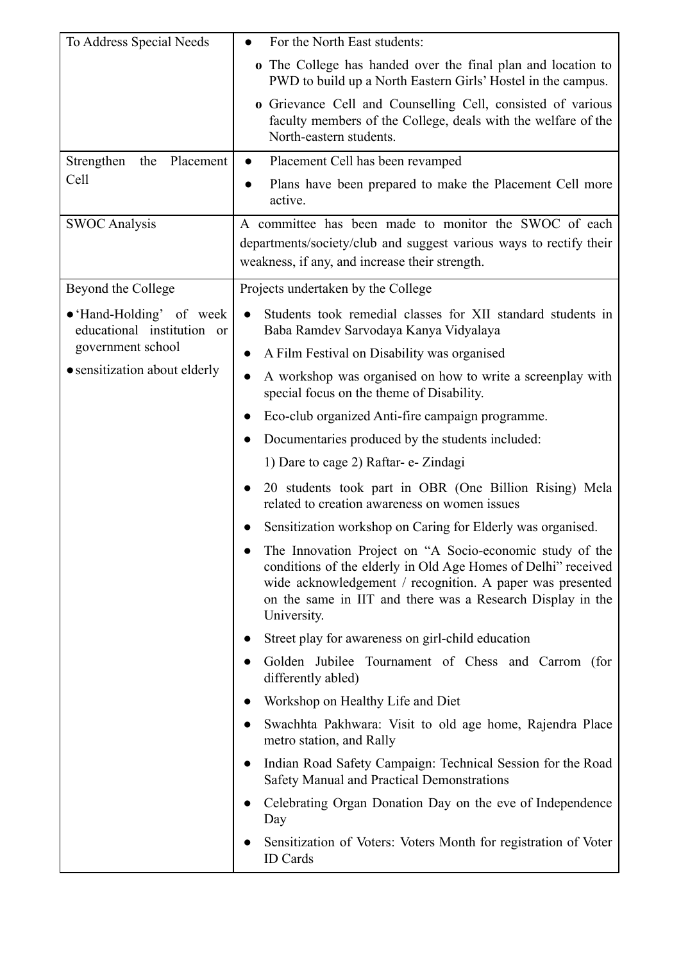| To Address Special Needs                               | For the North East students:                                                                                                                                                                                                                                        |
|--------------------------------------------------------|---------------------------------------------------------------------------------------------------------------------------------------------------------------------------------------------------------------------------------------------------------------------|
|                                                        | o The College has handed over the final plan and location to<br>PWD to build up a North Eastern Girls' Hostel in the campus.                                                                                                                                        |
|                                                        | o Grievance Cell and Counselling Cell, consisted of various<br>faculty members of the College, deals with the welfare of the<br>North-eastern students.                                                                                                             |
| Strengthen<br>Placement<br>the                         | Placement Cell has been revamped<br>$\bullet$                                                                                                                                                                                                                       |
| Cell                                                   | Plans have been prepared to make the Placement Cell more<br>active.                                                                                                                                                                                                 |
| <b>SWOC Analysis</b>                                   | A committee has been made to monitor the SWOC of each<br>departments/society/club and suggest various ways to rectify their<br>weakness, if any, and increase their strength.                                                                                       |
| Beyond the College                                     | Projects undertaken by the College                                                                                                                                                                                                                                  |
| • 'Hand-Holding' of week<br>educational institution or | Students took remedial classes for XII standard students in<br>Baba Ramdev Sarvodaya Kanya Vidyalaya                                                                                                                                                                |
| government school                                      | A Film Festival on Disability was organised                                                                                                                                                                                                                         |
| • sensitization about elderly                          | A workshop was organised on how to write a screenplay with<br>$\bullet$<br>special focus on the theme of Disability.                                                                                                                                                |
|                                                        | Eco-club organized Anti-fire campaign programme.                                                                                                                                                                                                                    |
|                                                        | Documentaries produced by the students included:                                                                                                                                                                                                                    |
|                                                        | 1) Dare to cage 2) Raftar- e- Zindagi                                                                                                                                                                                                                               |
|                                                        | 20 students took part in OBR (One Billion Rising) Mela<br>related to creation awareness on women issues                                                                                                                                                             |
|                                                        | Sensitization workshop on Caring for Elderly was organised.                                                                                                                                                                                                         |
|                                                        | The Innovation Project on "A Socio-economic study of the<br>conditions of the elderly in Old Age Homes of Delhi" received<br>wide acknowledgement / recognition. A paper was presented<br>on the same in IIT and there was a Research Display in the<br>University. |
|                                                        | Street play for awareness on girl-child education                                                                                                                                                                                                                   |
|                                                        | Golden Jubilee Tournament of Chess and Carrom (for<br>differently abled)                                                                                                                                                                                            |
|                                                        | Workshop on Healthy Life and Diet                                                                                                                                                                                                                                   |
|                                                        | Swachhta Pakhwara: Visit to old age home, Rajendra Place<br>metro station, and Rally                                                                                                                                                                                |
|                                                        | Indian Road Safety Campaign: Technical Session for the Road<br><b>Safety Manual and Practical Demonstrations</b>                                                                                                                                                    |
|                                                        | Celebrating Organ Donation Day on the eve of Independence<br>Day                                                                                                                                                                                                    |
|                                                        | Sensitization of Voters: Voters Month for registration of Voter<br><b>ID</b> Cards                                                                                                                                                                                  |